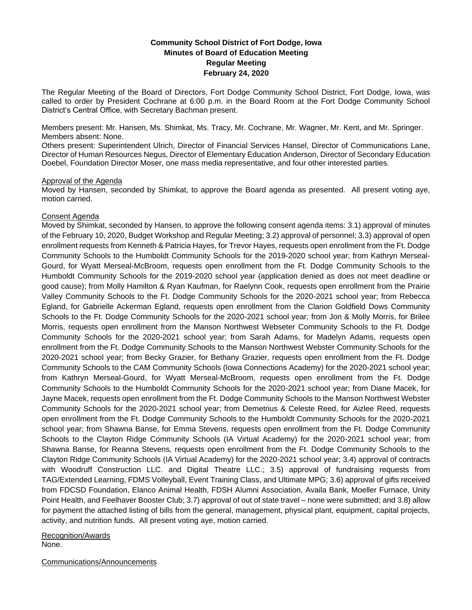# **Community School District of Fort Dodge, Iowa Minutes of Board of Education Meeting Regular Meeting February 24, 2020**

The Regular Meeting of the Board of Directors, Fort Dodge Community School District, Fort Dodge, Iowa, was called to order by President Cochrane at 6:00 p.m. in the Board Room at the Fort Dodge Community School District's Central Office, with Secretary Bachman present.

Members present: Mr. Hansen, Ms. Shimkat, Ms. Tracy, Mr. Cochrane, Mr. Wagner, Mr. Kent, and Mr. Springer. Members absent: None.

Others present: Superintendent Ulrich, Director of Financial Services Hansel, Director of Communications Lane, Director of Human Resources Negus, Director of Elementary Education Anderson, Director of Secondary Education Doebel, Foundation Director Moser, one mass media representative, and four other interested parties.

### Approval of the Agenda

Moved by Hansen, seconded by Shimkat, to approve the Board agenda as presented. All present voting aye, motion carried.

## Consent Agenda

Moved by Shimkat, seconded by Hansen, to approve the following consent agenda items: 3.1) approval of minutes of the February 10, 2020, Budget Workshop and Regular Meeting; 3.2) approval of personnel; 3.3) approval of open enrollment requests from Kenneth & Patricia Hayes, for Trevor Hayes, requests open enrollment from the Ft. Dodge Community Schools to the Humboldt Community Schools for the 2019-2020 school year; from Kathryn Merseal-Gourd, for Wyatt Merseal-McBroom, requests open enrollment from the Ft. Dodge Community Schools to the Humboldt Community Schools for the 2019-2020 school year (application denied as does not meet deadline or good cause); from Molly Hamilton & Ryan Kaufman, for Raelynn Cook, requests open enrollment from the Prairie Valley Community Schools to the Ft. Dodge Community Schools for the 2020-2021 school year; from Rebecca Egland, for Gabrielle Ackerman Egland, requests open enrollment from the Clarion Goldfield Dows Community Schools to the Ft. Dodge Community Schools for the 2020-2021 school year; from Jon & Molly Morris, for Brilee Morris, requests open enrollment from the Manson Northwest Webseter Community Schools to the Ft. Dodge Community Schools for the 2020-2021 school year; from Sarah Adams, for Madelyn Adams, requests open enrollment from the Ft. Dodge Community Schools to the Manson Northwest Webster Community Schools for the 2020-2021 school year; from Becky Grazier, for Bethany Grazier, requests open enrollment from the Ft. Dodge Community Schools to the CAM Community Schools (Iowa Connections Academy) for the 2020-2021 school year; from Kathryn Merseal-Gourd, for Wyatt Merseal-McBroom, requests open enrollment from the Ft. Dodge Community Schools to the Humboldt Community Schools for the 2020-2021 school year; from Diane Macek, for Jayne Macek, requests open enrollment from the Ft. Dodge Community Schools to the Manson Northwest Webster Community Schools for the 2020-2021 school year; from Demetrius & Celeste Reed, for Aizlee Reed, requests open enrollment from the Ft. Dodge Community Schools to the Humboldt Community Schools for the 2020-2021 school year; from Shawna Banse, for Emma Stevens, requests open enrollment from the Ft. Dodge Community Schools to the Clayton Ridge Community Schools (IA Virtual Academy) for the 2020-2021 school year; from Shawna Banse, for Reanna Stevens, requests open enrollment from the Ft. Dodge Community Schools to the Clayton Ridge Community Schools (IA Virtual Academy) for the 2020-2021 school year; 3.4) approval of contracts with Woodruff Construction LLC. and Digital Theatre LLC.; 3.5) approval of fundraising requests from TAG/Extended Learning, FDMS Volleyball, Event Training Class, and Ultimate MPG; 3.6) approval of gifts received from FDCSD Foundation, Elanco Animal Health, FDSH Alumni Association, Availa Bank, Moeller Furnace, Unity Point Health, and Feelhaver Booster Club; 3.7) approval of out of state travel – none were submitted; and 3.8) allow for payment the attached listing of bills from the general, management, physical plant, equipment, capital projects, activity, and nutrition funds. All present voting aye, motion carried.

Recognition/Awards None.

Communications/Announcements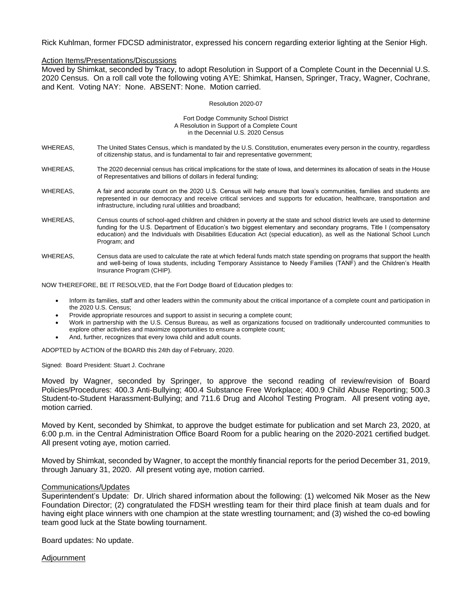Rick Kuhlman, former FDCSD administrator, expressed his concern regarding exterior lighting at the Senior High.

### Action Items/Presentations/Discussions

Moved by Shimkat, seconded by Tracy, to adopt Resolution in Support of a Complete Count in the Decennial U.S. 2020 Census. On a roll call vote the following voting AYE: Shimkat, Hansen, Springer, Tracy, Wagner, Cochrane, and Kent. Voting NAY: None. ABSENT: None. Motion carried.

#### Resolution 2020-07

#### Fort Dodge Community School District A Resolution in Support of a Complete Count in the Decennial U.S. 2020 Census

- WHEREAS, The United States Census, which is mandated by the U.S. Constitution, enumerates every person in the country, regardless of citizenship status, and is fundamental to fair and representative government;
- WHEREAS, The 2020 decennial census has critical implications for the state of Iowa, and determines its allocation of seats in the House of Representatives and billions of dollars in federal funding;
- WHEREAS, A fair and accurate count on the 2020 U.S. Census will help ensure that Iowa's communities, families and students are represented in our democracy and receive critical services and supports for education, healthcare, transportation and infrastructure, including rural utilities and broadband;
- WHEREAS, Census counts of school-aged children and children in poverty at the state and school district levels are used to determine funding for the U.S. Department of Education's two biggest elementary and secondary programs, Title I (compensatory education) and the Individuals with Disabilities Education Act (special education), as well as the National School Lunch Program; and
- WHEREAS, Census data are used to calculate the rate at which federal funds match state spending on programs that support the health and well-being of Iowa students, including Temporary Assistance to Needy Families (TANF) and the Children's Health Insurance Program (CHIP).

NOW THEREFORE, BE IT RESOLVED, that the Fort Dodge Board of Education pledges to:

- Inform its families, staff and other leaders within the community about the critical importance of a complete count and participation in the 2020 U.S. Census;
- Provide appropriate resources and support to assist in securing a complete count;
- Work in partnership with the U.S. Census Bureau, as well as organizations focused on traditionally undercounted communities to explore other activities and maximize opportunities to ensure a complete count;
- And, further, recognizes that every Iowa child and adult counts.

ADOPTED by ACTION of the BOARD this 24th day of February, 2020.

Signed: Board President: Stuart J. Cochrane

Moved by Wagner, seconded by Springer, to approve the second reading of review/revision of Board Policies/Procedures: 400.3 Anti-Bullying; 400.4 Substance Free Workplace; 400.9 Child Abuse Reporting; 500.3 Student-to-Student Harassment-Bullying; and 711.6 Drug and Alcohol Testing Program. All present voting aye, motion carried.

Moved by Kent, seconded by Shimkat, to approve the budget estimate for publication and set March 23, 2020, at 6:00 p.m. in the Central Administration Office Board Room for a public hearing on the 2020-2021 certified budget. All present voting aye, motion carried.

Moved by Shimkat, seconded by Wagner, to accept the monthly financial reports for the period December 31, 2019, through January 31, 2020. All present voting aye, motion carried.

#### Communications/Updates

Superintendent's Update: Dr. Ulrich shared information about the following: (1) welcomed Nik Moser as the New Foundation Director; (2) congratulated the FDSH wrestling team for their third place finish at team duals and for having eight place winners with one champion at the state wrestling tournament; and (3) wished the co-ed bowling team good luck at the State bowling tournament.

Board updates: No update.

Adjournment